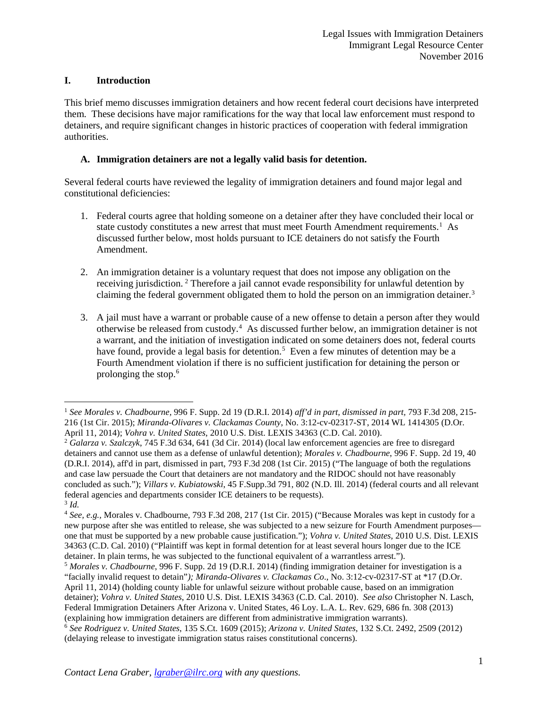## **I. Introduction**

This brief memo discusses immigration detainers and how recent federal court decisions have interpreted them. These decisions have major ramifications for the way that local law enforcement must respond to detainers, and require significant changes in historic practices of cooperation with federal immigration authorities.

# **A. Immigration detainers are not a legally valid basis for detention.**

Several federal courts have reviewed the legality of immigration detainers and found major legal and constitutional deficiencies:

- 1. Federal courts agree that holding someone on a detainer after they have concluded their local or state custody constitutes a new arrest that must meet Fourth Amendment requirements.<sup>[1](#page-0-0)</sup> As discussed further below, most holds pursuant to ICE detainers do not satisfy the Fourth Amendment.
- 2. An immigration detainer is a voluntary request that does not impose any obligation on the receiving jurisdiction. [2](#page-0-1) Therefore a jail cannot evade responsibility for unlawful detention by claiming the federal government obligated them to hold the person on an immigration detainer.<sup>[3](#page-0-2)</sup>
- 3. A jail must have a warrant or probable cause of a new offense to detain a person after they would otherwise be released from custody. [4](#page-0-3) As discussed further below, an immigration detainer is not a warrant, and the initiation of investigation indicated on some detainers does not, federal courts have found, provide a legal basis for detention.<sup>[5](#page-0-4)</sup> Even a few minutes of detention may be a Fourth Amendment violation if there is no sufficient justification for detaining the person or prolonging the stop.<sup>[6](#page-0-5)</sup>

<span id="page-0-0"></span> <sup>1</sup> *See Morales v. Chadbourne,* 996 F. Supp. 2d 19 (D.R.I. 2014) *aff'd in part, dismissed in part,* 793 F.3d 208, 215- 216 (1st Cir. 2015); *Miranda-Olivares v. Clackamas County*, No. 3:12-cv-02317-ST, 2014 WL 1414305 (D.Or.

<span id="page-0-1"></span><sup>&</sup>lt;sup>2</sup> Galarza v. Szalczyk, 745 F.3d 634, 641 (3d Cir. 2014) (local law enforcement agencies are free to disregard detainers and cannot use them as a defense of unlawful detention); *Morales v. Chadbourne*, 996 F. Supp. 2d 19, 40 (D.R.I. 2014), aff'd in part, dismissed in part, 793 F.3d 208 (1st Cir. 2015) ("The language of both the regulations and case law persuade the Court that detainers are not mandatory and the RIDOC should not have reasonably concluded as such."); *Villars v. Kubiatowski*, 45 F.Supp.3d 791, 802 (N.D. Ill. 2014) (federal courts and all relevant federal agencies and departments consider ICE detainers to be requests). <sup>3</sup> *Id.*

<span id="page-0-3"></span><span id="page-0-2"></span><sup>4</sup> *See, e.g.,* Morales v. Chadbourne, 793 F.3d 208, 217 (1st Cir. 2015) ("Because Morales was kept in custody for a new purpose after she was entitled to release, she was subjected to a new seizure for Fourth Amendment purposes one that must be supported by a new probable cause justification."); *Vohra v. United States*, 2010 U.S. Dist. LEXIS 34363 (C.D. Cal. 2010) ("Plaintiff was kept in formal detention for at least several hours longer due to the ICE detainer. In plain terms, he was subjected to the functional equivalent of a warrantless arrest."). 5 *Morales v. Chadbourne*, 996 F. Supp. 2d 19 (D.R.I. 2014) (finding immigration detainer for investigation is a

<span id="page-0-4"></span><sup>&</sup>quot;facially invalid request to detain"*); Miranda-Olivares v. Clackamas Co*., No. 3:12-cv-02317-ST at \*17 (D.Or. April 11, 2014) (holding county liable for unlawful seizure without probable cause, based on an immigration detainer); *Vohra v. United States*, 2010 U.S. Dist. LEXIS 34363 (C.D. Cal. 2010). *See also* Christopher N. Lasch, Federal Immigration Detainers After Arizona v. United States, 46 Loy. L.A. L. Rev. 629, 686 fn. 308 (2013) (explaining how immigration detainers are different from administrative immigration warrants). <sup>6</sup> *See Rodriguez v. United States*, 135 S.Ct. 1609 (2015); *Arizona v. United States*, 132 S.Ct. 2492, 2509 (2012)

<span id="page-0-5"></span><sup>(</sup>delaying release to investigate immigration status raises constitutional concerns).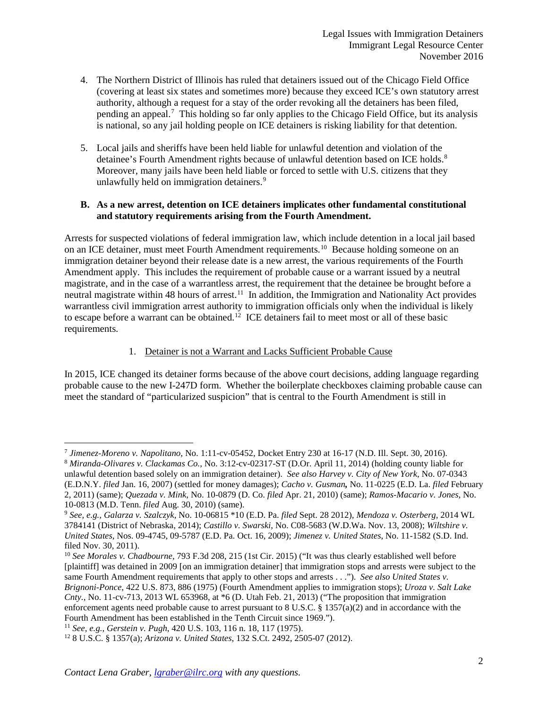- 4. The Northern District of Illinois has ruled that detainers issued out of the Chicago Field Office (covering at least six states and sometimes more) because they exceed ICE's own statutory arrest authority, although a request for a stay of the order revoking all the detainers has been filed, pending an appeal.<sup>[7](#page-1-0)</sup> This holding so far only applies to the Chicago Field Office, but its analysis is national, so any jail holding people on ICE detainers is risking liability for that detention.
- 5. Local jails and sheriffs have been held liable for unlawful detention and violation of the detainee's Fourth Amendment rights because of unlawful detention based on ICE holds. [8](#page-1-1) Moreover, many jails have been held liable or forced to settle with U.S. citizens that they unlawfully held on immigration detainers.<sup>[9](#page-1-2)</sup>

### **B. As a new arrest, detention on ICE detainers implicates other fundamental constitutional and statutory requirements arising from the Fourth Amendment.**

Arrests for suspected violations of federal immigration law, which include detention in a local jail based on an ICE detainer, must meet Fourth Amendment requirements.<sup>[10](#page-1-3)</sup> Because holding someone on an immigration detainer beyond their release date is a new arrest, the various requirements of the Fourth Amendment apply. This includes the requirement of probable cause or a warrant issued by a neutral magistrate, and in the case of a warrantless arrest, the requirement that the detainee be brought before a neutral magistrate within 48 hours of arrest.<sup>[11](#page-1-4)</sup> In addition, the Immigration and Nationality Act provides warrantless civil immigration arrest authority to immigration officials only when the individual is likely to escape before a warrant can be obtained.<sup>12</sup> ICE detainers fail to meet most or all of these basic requirements.

## 1. Detainer is not a Warrant and Lacks Sufficient Probable Cause

In 2015, ICE changed its detainer forms because of the above court decisions, adding language regarding probable cause to the new I-247D form. Whether the boilerplate checkboxes claiming probable cause can meet the standard of "particularized suspicion" that is central to the Fourth Amendment is still in

<span id="page-1-0"></span><sup>&</sup>lt;sup>7</sup> Jimenez-Moreno v. Napolitano, No. 1:11-cv-05452, Docket Entry 230 at 16-17 (N.D. Ill. Sept. 30, 2016).<br><sup>8</sup> Miranda-Olivares v. Clackamas Co., No. 3:12-cv-02317-ST (D.Or. April 11, 2014) (holding county liable for

<span id="page-1-1"></span>unlawful detention based solely on an immigration detainer). *See also Harvey v. City of New York*, No. 07-0343 (E.D.N.Y. *filed* Jan. 16, 2007) (settled for money damages); *Cacho v. Gusman,* No. 11-0225 (E.D. La. *filed* February 2, 2011) (same); *Quezada v. Mink*, No. 10-0879 (D. Co. *filed* Apr. 21, 2010) (same); *Ramos-Macario v. Jones*, No. 10-0813 (M.D. Tenn. *filed* Aug. 30, 2010) (same). 9 *See, e.g., Galarza v. Szalczyk*, No. 10-06815 \*10 (E.D. Pa. *filed* Sept. 28 2012)*, Mendoza v. Osterberg*, 2014 WL

<span id="page-1-2"></span><sup>3784141 (</sup>District of Nebraska, 2014); *Castillo v. Swarski*, No. C08-5683 (W.D.Wa. Nov. 13, 2008); *Wiltshire v. United States*, Nos. 09-4745, 09-5787 (E.D. Pa. Oct. 16, 2009); *Jimenez v. United States*, No. 11-1582 (S.D. Ind. filed Nov. 30, 2011).

<span id="page-1-3"></span><sup>10</sup> *See Morales v. Chadbourne*, 793 F.3d 208, 215 (1st Cir. 2015) ("It was thus clearly established well before [plaintiff] was detained in 2009 [on an immigration detainer] that immigration stops and arrests were subject to the same Fourth Amendment requirements that apply to other stops and arrests . . ."). *See also United States v. Brignoni-Ponce*, 422 U.S. 873, 886 (1975) (Fourth Amendment applies to immigration stops); *Uroza v. Salt Lake Cnty.*, No. 11-cv-713, 2013 WL 653968, at \*6 (D. Utah Feb. 21, 2013) ("The proposition that immigration enforcement agents need probable cause to arrest pursuant to 8 U.S.C. § 1357(a)(2) and in accordance with the Fourth Amendment has been established in the Tenth Circuit since 1969."). <sup>11</sup> See, e.g., Gerstein v. Pugh, 420 U.S. 103, 116 n. 18, 117 (1975).

<span id="page-1-4"></span>

<span id="page-1-5"></span><sup>11</sup> *See, e.g.*, *Gerstein v. Pugh*, 420 U.S. 103, 116 n. 18, 117 (1975). 12 8 U.S.C. § 1357(a); *Arizona v. United States*, 132 S.Ct. 2492, 2505-07 (2012).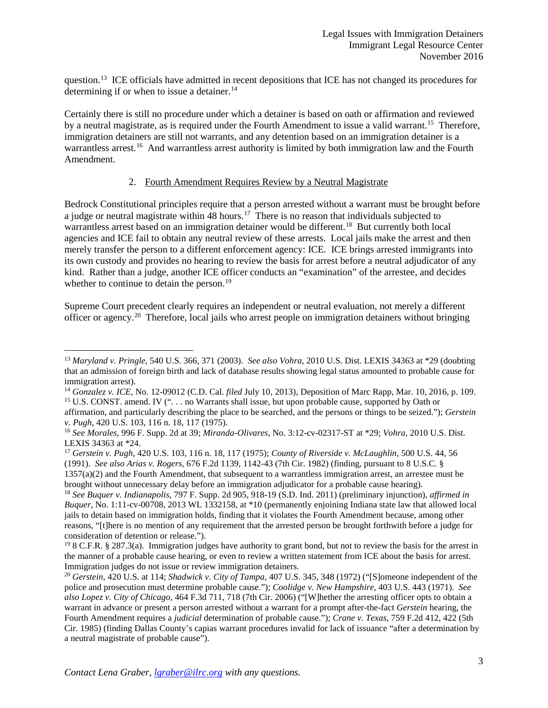question.<sup>13</sup> ICE officials have admitted in recent depositions that ICE has not changed its procedures for determining if or when to issue a detainer.<sup>[14](#page-2-1)</sup>

Certainly there is still no procedure under which a detainer is based on oath or affirmation and reviewed by a neutral magistrate, as is required under the Fourth Amendment to issue a valid warrant.<sup>15</sup> Therefore, immigration detainers are still not warrants, and any detention based on an immigration detainer is a warrantless arrest.<sup>[16](#page-2-3)</sup> And warrantless arrest authority is limited by both immigration law and the Fourth Amendment.

### 2. Fourth Amendment Requires Review by a Neutral Magistrate

Bedrock Constitutional principles require that a person arrested without a warrant must be brought before a judge or neutral magistrate within 48 hours.[17](#page-2-4) There is no reason that individuals subjected to warrantless arrest based on an immigration detainer would be different.<sup>[18](#page-2-5)</sup> But currently both local agencies and ICE fail to obtain any neutral review of these arrests. Local jails make the arrest and then merely transfer the person to a different enforcement agency: ICE. ICE brings arrested immigrants into its own custody and provides no hearing to review the basis for arrest before a neutral adjudicator of any kind. Rather than a judge, another ICE officer conducts an "examination" of the arrestee, and decides whether to continue to detain the person.<sup>19</sup>

Supreme Court precedent clearly requires an independent or neutral evaluation, not merely a different officer or agency.<sup>[20](#page-2-7)</sup> Therefore, local jails who arrest people on immigration detainers without bringing

brought without unnecessary delay before an immigration adjudicator for a probable cause hearing).<br><sup>18</sup> See Buquer v. Indianapolis, 797 F. Supp. 2d 905, 918-19 (S.D. Ind. 2011) (preliminary injunction), affirmed in

<span id="page-2-0"></span> <sup>13</sup> *Maryland v. Pringle*, 540 U.S. 366, 371 (2003). *See also Vohra*, 2010 U.S. Dist. LEXIS 34363 at \*29 (doubting that an admission of foreign birth and lack of database results showing legal status amounted to probable cause for immigration arrest). 14 *Gonzalez v. ICE*, No. 12-09012 (C.D. Cal. *filed* July 10, 2013), Deposition of Marc Rapp, Mar. 10, 2016, p. 109.

<span id="page-2-2"></span><span id="page-2-1"></span><sup>&</sup>lt;sup>15</sup> U.S. CONST. amend. IV (". . . no Warrants shall issue, but upon probable cause, supported by Oath or

affirmation, and particularly describing the place to be searched, and the persons or things to be seized."); *Gerstein* 

<span id="page-2-3"></span>*v. Pugh*, 420 U.S. 103, 116 n. 18, 117 (1975). 16 *See Morales,* 996 F. Supp. 2d at 39; *Miranda-Olivares*, No. 3:12-cv-02317-ST at \*29; *Vohra*, 2010 U.S. Dist.

<span id="page-2-4"></span><sup>&</sup>lt;sup>17</sup> *Gerstein v. Pugh*, 420 U.S. 103, 116 n. 18, 117 (1975); *County of Riverside v. McLaughlin,* 500 U.S. 44, 56 (1991). *See also Arias v. Rogers*, 676 F.2d 1139, 1142-43 (7th Cir. 1982) (finding, pursuant to 8 U.S.C. §  $1357(a)(2)$  and the Fourth Amendment, that subsequent to a warrantless immigration arrest, an arrestee must be

<span id="page-2-5"></span>*Buquer*, No. 1:11-cv-00708, 2013 WL 1332158, at \*10 (permanently enjoining Indiana state law that allowed local jails to detain based on immigration holds, finding that it violates the Fourth Amendment because, among other reasons, "[t]here is no mention of any requirement that the arrested person be brought forthwith before a judge for consideration of detention or release.").

<span id="page-2-6"></span><sup>&</sup>lt;sup>19</sup> 8 C.F.R. § 287.3(a). Immigration judges have authority to grant bond, but not to review the basis for the arrest in the manner of a probable cause hearing, or even to review a written statement from ICE about the basis for arrest. Immigration judges do not issue or review immigration detainers.

<span id="page-2-7"></span><sup>20</sup> *Gerstein,* 420 U.S. at 114; *Shadwick v. City of Tampa*, 407 U.S. 345, 348 (1972) ("[S]omeone independent of the police and prosecution must determine probable cause."); *Coolidge v. New Hampshire*, 403 U.S. 443 (1971). *See also Lopez v. City of Chicago*, 464 F.3d 711, 718 (7th Cir. 2006) ("[W]hether the arresting officer opts to obtain a warrant in advance or present a person arrested without a warrant for a prompt after-the-fact *Gerstein* hearing, the Fourth Amendment requires a *judicial* determination of probable cause."); *Crane v. Texas*, 759 F.2d 412, 422 (5th Cir. 1985) (finding Dallas County's capias warrant procedures invalid for lack of issuance "after a determination by a neutral magistrate of probable cause").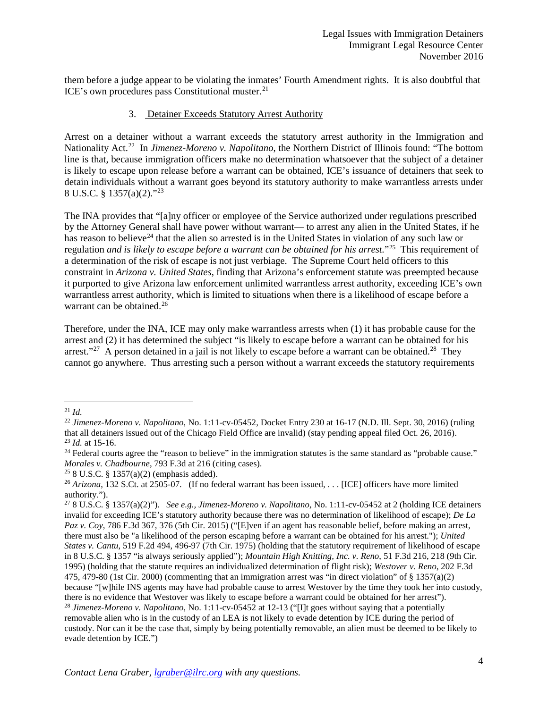them before a judge appear to be violating the inmates' Fourth Amendment rights. It is also doubtful that ICE's own procedures pass Constitutional muster.<sup>[21](#page-3-0)</sup>

#### 3. Detainer Exceeds Statutory Arrest Authority

Arrest on a detainer without a warrant exceeds the statutory arrest authority in the Immigration and Nationality Act.[22](#page-3-1) In *Jimenez-Moreno v. Napolitano*, the Northern District of Illinois found: "The bottom line is that, because immigration officers make no determination whatsoever that the subject of a detainer is likely to escape upon release before a warrant can be obtained, ICE's issuance of detainers that seek to detain individuals without a warrant goes beyond its statutory authority to make warrantless arrests under 8 U.S.C. § 1357(a)(2)."[23](#page-3-2)

The INA provides that "[a]ny officer or employee of the Service authorized under regulations prescribed by the Attorney General shall have power without warrant— to arrest any alien in the United States, if he has reason to believe<sup>24</sup> that the alien so arrested is in the United States in violation of any such law or regulation *and is likely to escape before a warrant can be obtained for his arrest.*"[25](#page-3-4) This requirement of a determination of the risk of escape is not just verbiage. The Supreme Court held officers to this constraint in *Arizona v. United States*, finding that Arizona's enforcement statute was preempted because it purported to give Arizona law enforcement unlimited warrantless arrest authority, exceeding ICE's own warrantless arrest authority, which is limited to situations when there is a likelihood of escape before a warrant can be obtained.<sup>26</sup>

Therefore, under the INA, ICE may only make warrantless arrests when (1) it has probable cause for the arrest and (2) it has determined the subject "is likely to escape before a warrant can be obtained for his arrest."<sup>[27](#page-3-6)</sup> A person detained in a jail is not likely to escape before a warrant can be obtained.<sup>28</sup> They cannot go anywhere. Thus arresting such a person without a warrant exceeds the statutory requirements

<span id="page-3-0"></span> $^{21}$  *Id.* 

<span id="page-3-1"></span><sup>22</sup> *Jimenez-Moreno v. Napolitano*, No. 1:11-cv-05452, Docket Entry 230 at 16-17 (N.D. Ill. Sept. 30, 2016) (ruling that all detainers issued out of the Chicago Field Office are invalid) (stay pending appeal filed Oct. 26, 2016). <sup>23</sup> *Id.* at 15-16.

<span id="page-3-3"></span><span id="page-3-2"></span> $24$  Federal courts agree the "reason to believe" in the immigration statutes is the same standard as "probable cause." *Morales v. Chadbourne*, 793 F.3d at 216 (citing cases).<br><sup>25</sup> 8 U.S.C. § 1357(a)(2) (emphasis added).

<span id="page-3-5"></span><span id="page-3-4"></span><sup>&</sup>lt;sup>26</sup> Arizona, 132 S.Ct. at 2505-07. (If no federal warrant has been issued, . . . [ICE] officers have more limited authority.").

<span id="page-3-7"></span><span id="page-3-6"></span><sup>27</sup> 8 U.S.C. § 1357(a)(2)"). *See e.g., Jimenez-Moreno v. Napolitano*, No. 1:11-cv-05452 at 2 (holding ICE detainers invalid for exceeding ICE's statutory authority because there was no determination of likelihood of escape); *De La Paz v. Coy*, 786 F.3d 367, 376 (5th Cir. 2015) ("[E]ven if an agent has reasonable belief, before making an arrest, there must also be "a likelihood of the person escaping before a warrant can be obtained for his arrest."); *United States v. Cantu*, 519 F.2d 494, 496-97 (7th Cir. 1975) (holding that the statutory requirement of likelihood of escape in 8 U.S.C. § 1357 "is always seriously applied"); *Mountain High Knitting, Inc. v. Reno*, 51 F.3d 216, 218 (9th Cir. 1995) (holding that the statute requires an individualized determination of flight risk); *Westover v. Reno*, 202 F.3d 475, 479-80 (1st Cir. 2000) (commenting that an immigration arrest was "in direct violation" of  $\S 1357(a)(2)$ because "[w]hile INS agents may have had probable cause to arrest Westover by the time they took her into custody, there is no evidence that Westover was likely to escape before a warrant could be obtained for her arrest"). <sup>28</sup> *Jimenez-Moreno v. Napolitano*, No. 1:11-cv-05452 at 12-13 ("[I]t goes without saying that a potentially removable alien who is in the custody of an LEA is not likely to evade detention by ICE during the period of custody. Nor can it be the case that, simply by being potentially removable, an alien must be deemed to be likely to evade detention by ICE.")